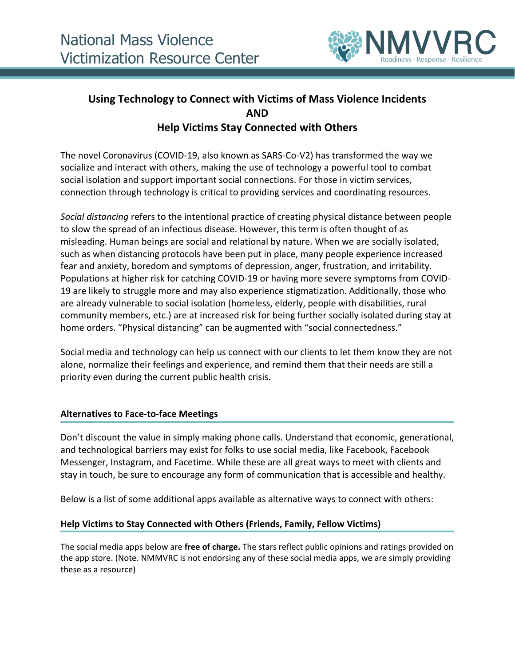

# **Using Technology to Connect with Victims of Mass Violence Incidents AND Help Victims Stay Connected with Others**

The novel Coronavirus (COVID-19, also known as SARS-Co-V2) has transformed the way we socialize and interact with others, making the use of technology a powerful tool to combat social isolation and support important social connections. For those in victim services, connection through technology is critical to providing services and coordinating resources.

*Social distancing* refers to the intentional practice of creating physical distance between people to slow the spread of an infectious disease. However, this term is often thought of as misleading. Human beings are social and relational by nature. When we are socially isolated, such as when distancing protocols have been put in place, many people experience increased fear and anxiety, boredom and symptoms of depression, anger, frustration, and irritability. Populations at higher risk for catching COVID-19 or having more severe symptoms from COVID-19 are likely to struggle more and may also experience stigmatization. Additionally, those who are already vulnerable to social isolation (homeless, elderly, people with disabilities, rural community members, etc.) are at increased risk for being further socially isolated during stay at home orders. "Physical distancing" can be augmented with "social connectedness."

Social media and technology can help us connect with our clients to let them know they are not alone, normalize their feelings and experience, and remind them that their needs are still a priority even during the current public health crisis.

## **Alternatives to Face-to-face Meetings**

Don't discount the value in simply making phone calls. Understand that economic, generational, and technological barriers may exist for folks to use social media, like Facebook, Facebook Messenger, Instagram, and Facetime. While these are all great ways to meet with clients and stay in touch, be sure to encourage any form of communication that is accessible and healthy.

Below is a list of some additional apps available as alternative ways to connect with others:

### **Help Victims to Stay Connected with Others (Friends, Family, Fellow Victims)**

The social media apps below are **free of charge.** The stars reflect public opinions and ratings provided on the app store. (Note. NMMVRC is not endorsing any of these social media apps, we are simply providing these as a resource)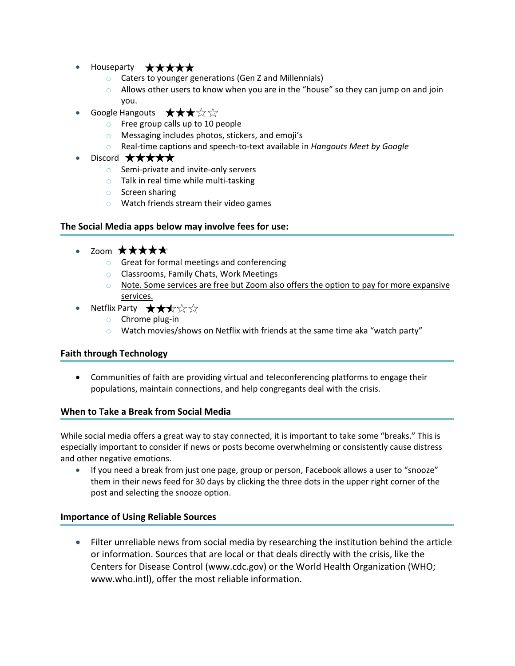- Houseparty  $\star \star \star \star \star$ 
	- o Caters to younger generations (Gen Z and Millennials)
	- $\circ$  Allows other users to know when you are in the "house" so they can jump on and join you.
- Google Hangouts  $\star \star \star \times \star$ 
	- o Free group calls up to 10 people
	- o Messaging includes photos, stickers, and emoji's
	- o Real-time captions and speech-to-text available in *Hangouts Meet by Google*
- Discord ★★★★★
	- o Semi-private and invite-only servers
	- o Talk in real time while multi-tasking
	- o Screen sharing
	- o Watch friends stream their video games

### **The Social Media apps below may involve fees for use:**

- Zoom  $\star \star \star \star \star$ 
	- o Great for formal meetings and conferencing
	- o Classrooms, Family Chats, Work Meetings
	- $\circ$  Note. Some services are free but Zoom also offers the option to pay for more expansive services.
- Netflix Party  $\;\star\star\star\!\!\!\downarrow\star\!\!\!\downarrow\;\star$ 
	- o Chrome plug-in
	- $\circ$  Watch movies/shows on Netflix with friends at the same time aka "watch party"

### **Faith through Technology**

• Communities of faith are providing virtual and teleconferencing platforms to engage their populations, maintain connections, and help congregants deal with the crisis.

### **When to Take a Break from Social Media**

While social media offers a great way to stay connected, it is important to take some "breaks." This is especially important to consider if news or posts become overwhelming or consistently cause distress and other negative emotions.

• If you need a break from just one page, group or person, Facebook allows a user to "snooze" them in their news feed for 30 days by clicking the three dots in the upper right corner of the post and selecting the snooze option.

### **Importance of Using Reliable Sources**

• Filter unreliable news from social media by researching the institution behind the article or information. Sources that are local or that deals directly with the crisis, like the Centers for Disease Control (www.cdc.gov) or the World Health Organization (WHO; www.who.intl), offer the most reliable information.